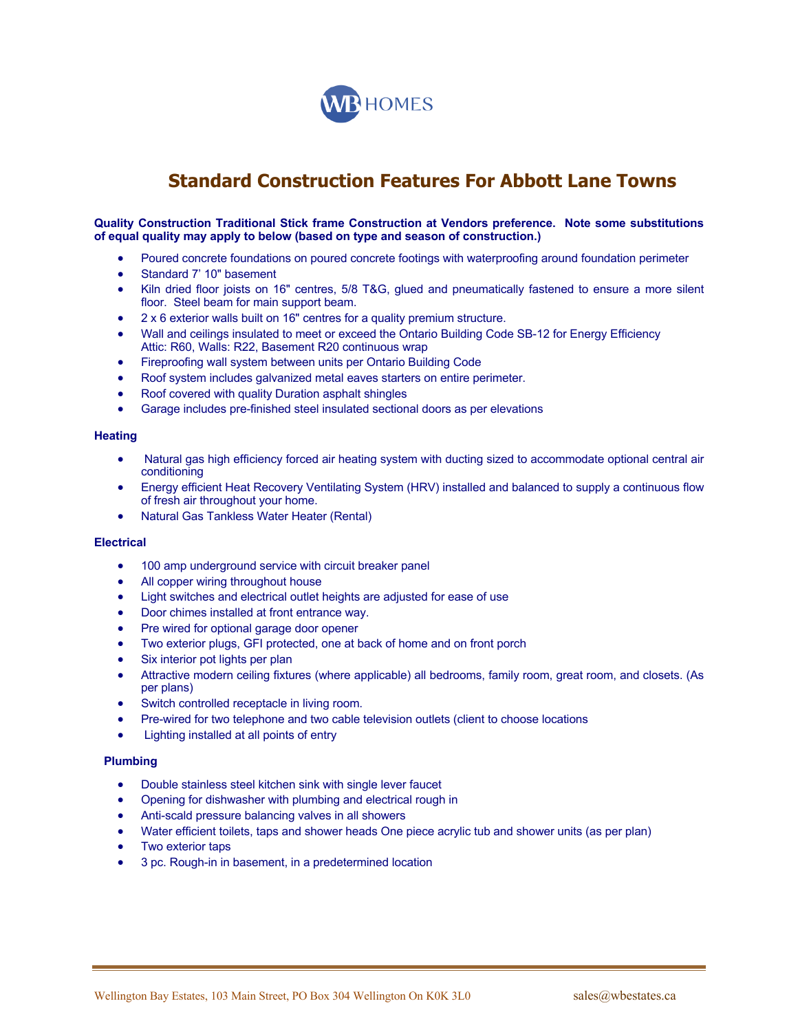

# **Standard Construction Features For Abbott Lane Towns**

**Quality Construction Traditional Stick frame Construction at Vendors preference. Note some substitutions of equal quality may apply to below (based on type and season of construction.)**

- Poured concrete foundations on poured concrete footings with waterproofing around foundation perimeter
- Standard 7' 10" basement
- Kiln dried floor joists on 16" centres, 5/8 T&G, glued and pneumatically fastened to ensure a more silent floor. Steel beam for main support beam.
- 2 x 6 exterior walls built on 16" centres for a quality premium structure.
- Wall and ceilings insulated to meet or exceed the Ontario Building Code SB-12 for Energy Efficiency Attic: R60, Walls: R22, Basement R20 continuous wrap
- Fireproofing wall system between units per Ontario Building Code
- Roof system includes galvanized metal eaves starters on entire perimeter.
- Roof covered with quality Duration asphalt shingles
- Garage includes pre-finished steel insulated sectional doors as per elevations

# **Heating**

- Natural gas high efficiency forced air heating system with ducting sized to accommodate optional central air conditioning
- Energy efficient Heat Recovery Ventilating System (HRV) installed and balanced to supply a continuous flow of fresh air throughout your home.
- Natural Gas Tankless Water Heater (Rental)

#### **Electrical**

- 100 amp underground service with circuit breaker panel
- All copper wiring throughout house
- Light switches and electrical outlet heights are adjusted for ease of use
- Door chimes installed at front entrance way.
- Pre wired for optional garage door opener
- Two exterior plugs, GFI protected, one at back of home and on front porch
- Six interior pot lights per plan
- Attractive modern ceiling fixtures (where applicable) all bedrooms, family room, great room, and closets. (As per plans)
- Switch controlled receptacle in living room.
- Pre-wired for two telephone and two cable television outlets (client to choose locations
- Lighting installed at all points of entry

#### **Plumbing**

- Double stainless steel kitchen sink with single lever faucet
- Opening for dishwasher with plumbing and electrical rough in
- Anti-scald pressure balancing valves in all showers
- Water efficient toilets, taps and shower heads One piece acrylic tub and shower units (as per plan)
- Two exterior taps
- 3 pc. Rough-in in basement, in a predetermined location